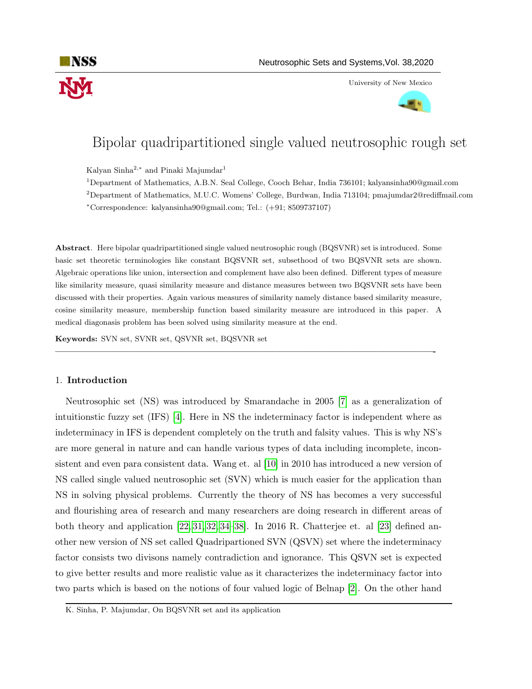

University of New Mexico



# Bipolar quadripartitioned single valued neutrosophic rough set

Kalyan Sinha $^{2,*}$  and Pinaki Majumdar $^1$ 

<sup>1</sup>Department of Mathematics, A.B.N. Seal College, Cooch Behar, India 736101; kalyansinha90@gmail.com

<sup>2</sup>Department of Mathematics, M.U.C. Womens' College, Burdwan, India 713104; pmajumdar2@rediffmail.com

<sup>∗</sup>Correspondence: kalyansinha90@gmail.com; Tel.: (+91; 8509737107)

Abstract. Here bipolar quadripartitioned single valued neutrosophic rough (BQSVNR) set is introduced. Some basic set theoretic terminologies like constant BQSVNR set, subsethood of two BQSVNR sets are shown. Algebraic operations like union, intersection and complement have also been defined. Different types of measure like similarity measure, quasi similarity measure and distance measures between two BQSVNR sets have been discussed with their properties. Again various measures of similarity namely distance based similarity measure, cosine similarity measure, membership function based similarity measure are introduced in this paper. A medical diagonasis problem has been solved using similarity measure at the end.

—————————————————————————————————————————-

Keywords: SVN set, SVNR set, QSVNR set, BQSVNR set

# 1. Introduction

Neutrosophic set (NS) was introduced by Smarandache in 2005 [\[7\]](#page-11-0) as a generalization of intuitionstic fuzzy set (IFS) [\[4\]](#page-11-1). Here in NS the indeterminacy factor is independent where as indeterminacy in IFS is dependent completely on the truth and falsity values. This is why NS's are more general in nature and can handle various types of data including incomplete, inconsistent and even para consistent data. Wang et. al [\[10\]](#page-12-0) in 2010 has introduced a new version of NS called single valued neutrosophic set (SVN) which is much easier for the application than NS in solving physical problems. Currently the theory of NS has becomes a very successful and flourishing area of research and many researchers are doing research in different areas of both theory and application [\[22,](#page-12-1) [31,](#page-12-2) [32,](#page-13-0) [34–](#page-13-1)[38\]](#page-13-2). In 2016 R. Chatterjee et. al [\[23\]](#page-12-3) defined another new version of NS set called Quadripartioned SVN (QSVN) set where the indeterminacy factor consists two divisons namely contradiction and ignorance. This QSVN set is expected to give better results and more realistic value as it characterizes the indeterminacy factor into two parts which is based on the notions of four valued logic of Belnap [\[2\]](#page-11-2). On the other hand

K. Sinha, P. Majumdar, On BQSVNR set and its application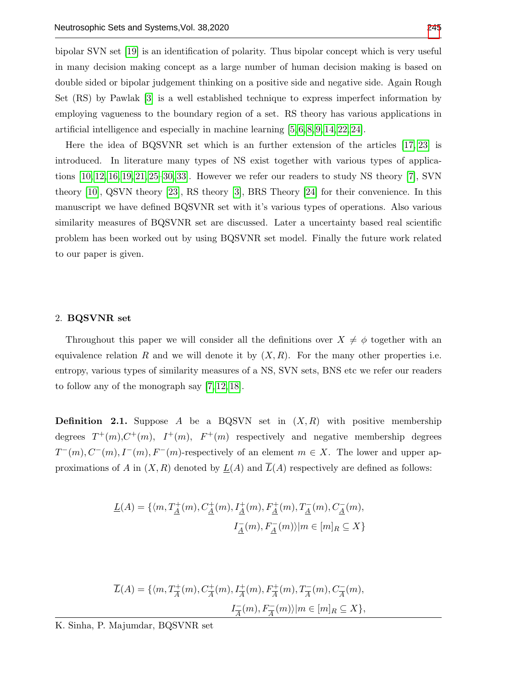bipolar SVN set [\[19\]](#page-12-4) is an identification of polarity. Thus bipolar concept which is very useful in many decision making concept as a large number of human decision making is based on double sided or bipolar judgement thinking on a positive side and negative side. Again Rough Set (RS) by Pawlak [\[3\]](#page-11-3) is a well established technique to express imperfect information by employing vagueness to the boundary region of a set. RS theory has various applications in artificial intelligence and especially in machine learning [\[5,](#page-11-4) [6,](#page-11-5) [8,](#page-11-6) [9,](#page-11-7) [14,](#page-12-5) [22,](#page-12-1) [24\]](#page-12-6).

Here the idea of BQSVNR set which is an further extension of the articles [\[17,](#page-12-7) [23\]](#page-12-3) is introduced. In literature many types of NS exist together with various types of applications [\[10,](#page-12-0) [12,](#page-12-8) [16,](#page-12-9) [19,](#page-12-4) [21,](#page-12-10) [25](#page-12-11)[–30,](#page-12-12) [33\]](#page-13-4). However we refer our readers to study NS theory [\[7\]](#page-11-0), SVN theory [\[10\]](#page-12-0), QSVN theory [\[23\]](#page-12-3), RS theory [\[3\]](#page-11-3), BRS Theory [\[24\]](#page-12-6) for their convenience. In this manuscript we have defined BQSVNR set with it's various types of operations. Also various similarity measures of BQSVNR set are discussed. Later a uncertainty based real scientific problem has been worked out by using BQSVNR set model. Finally the future work related to our paper is given.

#### 2. BQSVNR set

Throughout this paper we will consider all the definitions over  $X \neq \phi$  together with an equivalence relation R and we will denote it by  $(X, R)$ . For the many other properties i.e. entropy, various types of similarity measures of a NS, SVN sets, BNS etc we refer our readers to follow any of the monograph say [\[7,](#page-11-0) [12,](#page-12-8) [18\]](#page-12-13).

<span id="page-1-0"></span>**Definition 2.1.** Suppose A be a BQSVN set in  $(X, R)$  with positive membership degrees  $T^+(m)$ ,  $C^+(m)$ ,  $T^+(m)$ ,  $F^+(m)$  respectively and negative membership degrees  $T^-(m)$ ,  $C^-(m)$ ,  $I^-(m)$ ,  $F^-(m)$ -respectively of an element  $m \in X$ . The lower and upper approximations of A in  $(X, R)$  denoted by  $\underline{L}(A)$  and  $\overline{L}(A)$  respectively are defined as follows:

$$
\underline{L}(A) = \{ \langle m, T_{\underline{A}}^+(m), C_{\underline{A}}^+(m), I_{\underline{A}}^+(m), F_{\underline{A}}^+(m), T_{\underline{A}}^-(m), C_{\underline{A}}^-(m), \right. \\ \left. \begin{array}{c} I_{\underline{A}}^-(m), F_{\underline{A}}^-(m) \rangle | m \in [m]_R \subseteq X \} \end{array} \right.
$$

$$
\overline{L}(A) = \{ \langle m, T_{\overline{A}}^+(m), C_{\overline{A}}^+(m), I_{\overline{A}}^+(m), F_{\overline{A}}^+(m), T_{\overline{A}}^-(m), C_{\overline{A}}^-(m), \right. \\
\left. I_{\overline{A}}^-(m), F_{\overline{A}}^-(m) \rangle | m \in [m]_R \subseteq X \},
$$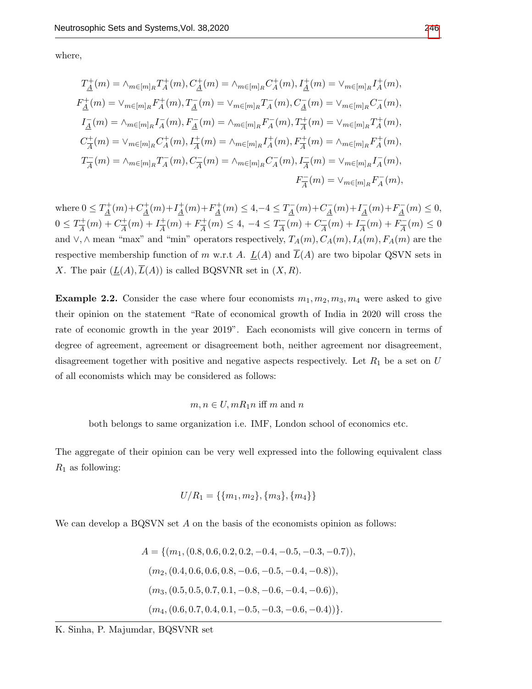where,

$$
T_{\underline{A}}^{+}(m) = \wedge_{m \in [m]_{R}} T_{A}^{+}(m), C_{\underline{A}}^{+}(m) = \wedge_{m \in [m]_{R}} C_{A}^{+}(m), I_{\underline{A}}^{+}(m) = \vee_{m \in [m]_{R}} I_{A}^{+}(m),
$$
  
\n
$$
F_{\underline{A}}^{+}(m) = \vee_{m \in [m]_{R}} F_{A}^{+}(m), T_{\underline{A}}^{-}(m) = \vee_{m \in [m]_{R}} T_{A}^{-}(m), C_{\underline{A}}^{-}(m) = \vee_{m \in [m]_{R}} C_{A}^{-}(m),
$$
  
\n
$$
I_{\underline{A}}^{-}(m) = \wedge_{m \in [m]_{R}} I_{A}^{-}(m), F_{\underline{A}}^{-}(m) = \wedge_{m \in [m]_{R}} F_{A}^{-}(m), T_{\overline{A}}^{+}(m) = \vee_{m \in [m]_{R}} T_{A}^{+}(m),
$$
  
\n
$$
C_{\overline{A}}^{+}(m) = \vee_{m \in [m]_{R}} C_{A}^{+}(m), I_{\overline{A}}^{+}(m) = \wedge_{m \in [m]_{R}} I_{A}^{+}(m), F_{\overline{A}}^{+}(m) = \wedge_{m \in [m]_{R}} F_{A}^{+}(m),
$$
  
\n
$$
T_{\overline{A}}^{-}(m) = \wedge_{m \in [m]_{R}} T_{A}^{-}(m), C_{\overline{A}}^{-}(m) = \wedge_{m \in [m]_{R}} C_{A}^{-}(m), I_{\overline{A}}^{-}(m) = \vee_{m \in [m]_{R}} F_{A}^{-}(m),
$$
  
\n
$$
F_{\overline{A}}^{-}(m) = \vee_{m \in [m]_{R}} F_{A}^{-}(m),
$$

where  $0 \leq T_A^+$  $L_{\underline{A}}^{+}(m)+C_{\underline{A}}^{+}$  $L_{\underline{A}}^{+}(m)+I_{\underline{A}}^{+}$  $A^+(m)+F_A^+$  $T_{\underline{A}}^{+}(m) \leq 4, -4 \leq T_{\underline{A}}^{-}$  $L_{\underline{A}}^-(m)+C_{\underline{A}}^ \frac{1}{4}(m)+I_{\underline{A}}^{-}$  $\frac{1}{A}(m)+F_{\underline{A}}^{-}$  $L_{\underline{A}}^-(m) \leq 0,$  $0 \leq T_{\frac{1}{4}}^{+}$  $\frac{n}{A}(m) + C\frac{+}{A}$  $I_{\overline{A}}^{+}(m) + I_{\overline{A}}^{+}$  $rac{+}{A}(m) + F\frac{+}{A}$  $T_{\overline{A}}^{+}(m) \leq 4, -4 \leq T_{\overline{A}}^{-}$  $\frac{N-}{A}(m) + C \frac{1}{A}$  $\frac{1}{\overline{A}}(m) + I_{\overline{A}}^{-}$  $\frac{1}{\overline{A}}(m) + F \frac{1}{\overline{A}}$  $\frac{N-}{A}(m) \leq 0$ and ∨, ∧ mean "max" and "min" operators respectively,  $T_A(m)$ ,  $C_A(m)$ ,  $I_A(m)$ ,  $F_A(m)$  are the respective membership function of m w.r.t A.  $\underline{L}(A)$  and  $\overline{L}(A)$  are two bipolar QSVN sets in X. The pair  $(L(A),\overline{L}(A))$  is called BQSVNR set in  $(X,R)$ .

**Example 2.2.** Consider the case where four economists  $m_1, m_2, m_3, m_4$  were asked to give their opinion on the statement "Rate of economical growth of India in 2020 will cross the rate of economic growth in the year 2019". Each economists will give concern in terms of degree of agreement, agreement or disagreement both, neither agreement nor disagreement, disagreement together with positive and negative aspects respectively. Let  $R_1$  be a set on U of all economists which may be considered as follows:

## $m, n \in U, mR_1n$  iff m and n

both belongs to same organization i.e. IMF, London school of economics etc.

The aggregate of their opinion can be very well expressed into the following equivalent class  $R_1$  as following:

$$
U/R_1 = \{\{m_1, m_2\}, \{m_3\}, \{m_4\}\}\
$$

We can develop a BQSVN set A on the basis of the economists opinion as follows:

$$
A = \{ (m_1, (0.8, 0.6, 0.2, 0.2, -0.4, -0.5, -0.3, -0.7)),
$$
  
\n
$$
(m_2, (0.4, 0.6, 0.6, 0.8, -0.6, -0.5, -0.4, -0.8)),
$$
  
\n
$$
(m_3, (0.5, 0.5, 0.7, 0.1, -0.8, -0.6, -0.4, -0.6)),
$$
  
\n
$$
(m_4, (0.6, 0.7, 0.4, 0.1, -0.5, -0.3, -0.6, -0.4)) \}.
$$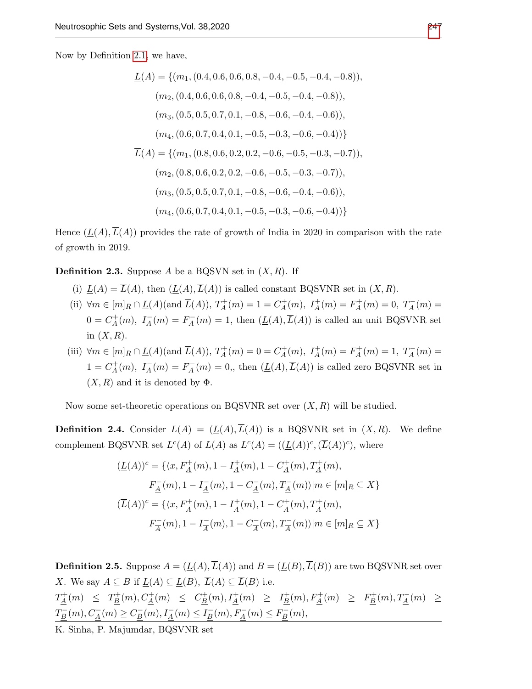Now by Definition [2.1,](#page-1-0) we have,

$$
\underline{L}(A) = \{ (m_1, (0.4, 0.6, 0.6, 0.8, -0.4, -0.5, -0.4, -0.8)),
$$
  
\n
$$
(m_2, (0.4, 0.6, 0.6, 0.8, -0.4, -0.5, -0.4, -0.8)),
$$
  
\n
$$
(m_3, (0.5, 0.5, 0.7, 0.1, -0.8, -0.6, -0.4, -0.6)),
$$
  
\n
$$
(m_4, (0.6, 0.7, 0.4, 0.1, -0.5, -0.3, -0.6, -0.4)) \}
$$
  
\n
$$
\overline{L}(A) = \{ (m_1, (0.8, 0.6, 0.2, 0.2, -0.6, -0.5, -0.3, -0.7)),
$$
  
\n
$$
(m_2, (0.8, 0.6, 0.2, 0.2, -0.6, -0.5, -0.3, -0.7)),
$$
  
\n
$$
(m_3, (0.5, 0.5, 0.7, 0.1, -0.8, -0.6, -0.4, -0.6)),
$$
  
\n
$$
(m_4, (0.6, 0.7, 0.4, 0.1, -0.5, -0.3, -0.6, -0.4)) \}
$$

Hence  $(L(A),\overline{L}(A))$  provides the rate of growth of India in 2020 in comparison with the rate of growth in 2019.

**Definition 2.3.** Suppose A be a BQSVN set in  $(X, R)$ . If

- (i)  $L(A) = \overline{L}(A)$ , then  $(L(A), \overline{L}(A))$  is called constant BQSVNR set in  $(X, R)$ .
- (ii)  $\forall m \in [m]_R \cap \underline{L}(A)$ (and  $\overline{L}(A)$ ),  $T_A^+$  $L_A^+(m) = 1 = C_A^+$  $I_A^+(m), I_A^+(m) = F_A^+$  $T_A^+(m) = 0, T_A^-(m) =$  $0 = C_A^+$  $I_A^+(m), I_A^-(m) = F_A^ A_A^-(m) = 1$ , then  $(\underline{L}(A), L(A))$  is called an unit BQSVNR set in  $(X, R)$ .
- (iii)  $\forall m \in [m]_R \cap \underline{L}(A)$  (and  $\overline{L}(A)$ ),  $T_A^+$  $C_A^+(m) = 0 = C_A^+$  $I_A^+(m), I_A^+(m) = F_A^+$  $T_A^+(m) = 1, T_A^-(m) =$  $1 = C_A^+$  $I_A^+(m), I_A^-(m) = F_A^ A_A^-(m) = 0$ ,, then  $(\underline{L}(A), \overline{L}(A))$  is called zero BQSVNR set in  $(X, R)$  and it is denoted by  $\Phi$ .

Now some set-theoretic operations on BQSVNR set over  $(X, R)$  will be studied.

**Definition 2.4.** Consider  $L(A) = (\underline{L}(A), \overline{L}(A))$  is a BQSVNR set in  $(X, R)$ . We define complement BQSVNR set  $L^c(A)$  of  $L(A)$  as  $L^c(A) = ((\underline{L}(A))^c, (\overline{L}(A))^c)$ , where

$$
(\underline{L}(A))^c = \{ \langle x, F_A^+(m), 1 - I_A^+(m), 1 - C_A^+(m), T_A^+(m),
$$
  
\n
$$
F_A^-(m), 1 - I_A^-(m), 1 - C_A^-(m), T_A^-(m) \rangle | m \in [m]_R \subseteq X \}
$$
  
\n
$$
(\overline{L}(A))^c = \{ \langle x, F_A^+(m), 1 - I_A^+(m), 1 - C_A^+(m), T_A^+(m),
$$
  
\n
$$
F_A^-(m), 1 - I_A^-(m), 1 - C_A^-(m), T_A^-(m) \rangle | m \in [m]_R \subseteq X \}
$$

<span id="page-3-0"></span>**Definition 2.5.** Suppose  $A = (\underline{L}(A), \overline{L}(A))$  and  $B = (\underline{L}(B), \overline{L}(B))$  are two BQSVNR set over X. We say  $A \subseteq B$  if  $\underline{L}(A) \subseteq \underline{L}(B)$ ,  $\overline{L}(A) \subseteq \overline{L}(B)$  i.e.  $T_A^+$  $T_{\underline{A}}^{+}(m) \leq T_{\underline{B}}^{+}$  $\frac{D_1^+(m), C^+_{\underline{A}}(m)}{\underline{B}} \leq C^+_{\underline{B}}$  $L_{\underline{B}}^{+}(m), L_{\underline{A}}^{+}(m) \geq L_{\underline{B}}^{+}$  $E_B^+(m), F_A^+(m) \geq F_B^+$  $T_{\underline{B}}^{+}(m), T_{\underline{A}}^{-}(m) \geq$  $T^-_B$  $C_{\underline{B}}^-(m), C_{\underline{A}}^-(m) \geq C_{\underline{B}}^ I_{\underline{B}}^-(m), I_{\underline{A}}^-(m) \leq I_{\underline{B}}^ \frac{E}{B}(m), F_{\underline{A}}^-(m) \leq F_{\underline{B}}^+$  $B_{\underline{B}}(m),$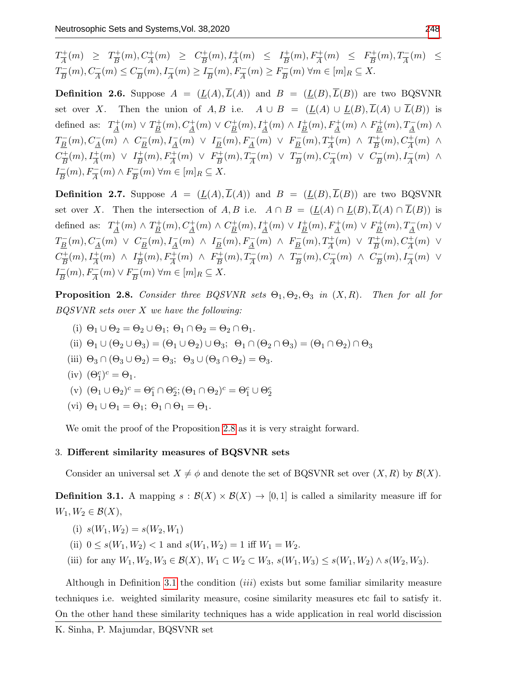$$
T_{\overline{A}}^+(m) \geq T_{\overline{B}}^+(m), C_{\overline{A}}^+(m) \geq C_{\overline{B}}^+(m), I_{\overline{A}}^+(m) \leq I_{\overline{B}}^+(m), F_{\overline{A}}^+(m) \leq F_{\overline{B}}^+(m), T_{\overline{A}}^-(m) \leq T_{\overline{B}}^-(m), C_{\overline{A}}^-(m) \leq C_{\overline{B}}^-(m), I_{\overline{A}}^-(m) \geq I_{\overline{B}}^-(m), F_{\overline{A}}^-(m) \geq F_{\overline{B}}^-(m) \forall m \in [m]_R \subseteq X.
$$

**Definition 2.6.** Suppose  $A = (\underline{L}(A), \overline{L}(A))$  and  $B = (\underline{L}(B), \overline{L}(B))$  are two BQSVNR set over X. Then the union of A, B i.e.  $A \cup B = (\underline{L}(A) \cup \underline{L}(B), \overline{L}(A) \cup \overline{L}(B))$  is defined as:  $T_A^+$  $T_{\underline{A}}^+(m) \vee T_{\underline{B}}^+$  $L_{\underline{B}}^{+}(m), C_{\underline{A}}^{+}(m) \vee C_{\underline{B}}^{+}$  $L_{\underline{B}}^{+}(m), L_{\underline{A}}^{+}(m) \wedge L_{\underline{B}}^{+}$  $E_B^+(m)$ ,  $F_A^+(m)$   $\wedge$   $F_B^+$  $T_{\underline{B}}^{+}(m), T_{\underline{A}}^{-}(m) \wedge$  $T^-_B$  $L_{\underline{B}}^-(m)$ ,  $C_{\underline{A}}^-(m)$   $\wedge$   $C_{\underline{B}}^ I_{\underline{B}}^-(m), I_{\underline{A}}^-(m) \vee I_{\underline{B}}^ E_{\underline{B}}^-(m), F_{\underline{A}}^-(m) \vee F_{\underline{B}}^ T_{\underline{B}}^-(m), T_{\overline{A}}^+(m) \wedge T_{\overline{B}}^+$  $C_{\overline{A}}^+(m)$ ,  $C_{\overline{A}}^+(m)$   $\wedge$  $C_{\overline{D}}^+$  $L_{\overline{B}}^{+}(m), L_{\overline{A}}^{+}(m) \vee L_{\overline{B}}^{+}$  $E^{\pm}_B(m), F^{\pm}_A(m) \vee F^{\pm}_B$  $T_{\overline{B}}^+(m), T_{\overline{A}}^-(m) \vee T_{\overline{B}}^ \frac{C_{\overline{B}}(m), C_{\overline{A}}(m)}{B} \vee C_{\overline{B}}^{-}$  $\frac{1}{B}(m)$ ,  $I_{\overline{A}}(m)$   $\wedge$  $I_{\overline{D}}^ \frac{C}{B}(m), F^-_A(m) \wedge F^-_B$  $\frac{m}{B}(m)$   $\forall m \in [m]_R \subseteq X$ .

**Definition 2.7.** Suppose  $A = (\underline{L}(A), \overline{L}(A))$  and  $B = (\underline{L}(B), \overline{L}(B))$  are two BQSVNR set over X. Then the intersection of A, B i.e.  $A \cap B = (\underline{L}(A) \cap \underline{L}(B), \overline{L}(A) \cap \overline{L}(B))$  is defined as:  $T_A^+$  $T_{\underline{A}}^+(m) \wedge T_{\underline{B}}^+$  $L_{\underline{B}}^{+}(m), C_{\underline{A}}^{+}(m) \wedge C_{\underline{B}}^{+}$  $L_{\underline{B}}^{+}(m), I_{\underline{A}}^{+}(m) \vee I_{\underline{B}}^{+}$  $\frac{E}{B}(m)$ ,  $F_{\underline{A}}^{+}(m) \vee F_{\underline{B}}^{+}$  $T_{\underline{B}}^{+}(m), T_{\underline{A}}^{-}(m) \vee$  $T^-_B$  $\frac{D}{B}(m), C_A^-(m) \vee C_B^ I_{\underline{B}}^-(m), I_{\underline{A}}^-(m) \ \wedge \ I_{\underline{B}}^ E_{\underline{B}}^-(m)$ ,  $F_{\underline{A}}^-(m)$   $\wedge$   $F_{\underline{B}}^ T_{\underline{B}}^-(m), T_{\overline{A}}^+(m) \vee T_{\overline{B}}^+$  $L_{\overline{B}}^{+}(m), C_{\overline{A}}^{+}(m) \vee$  $C_{\overline{D}}^+$  $L_{\overline{B}}^+(m)$ ,  $I_{\overline{A}}^+(m)$   $\wedge$   $I_{\overline{B}}^+$  $\frac{1}{B}(m)$ ,  $F_{\overline{A}}^+(m)$   $\wedge$   $F_{\overline{B}}^+$  $T_{\overline{B}}^+(m)$ ,  $T_{\overline{A}}^-(m)$   $\wedge$   $T_{\overline{B}}^ \frac{C_{\overline{B}}(m), C_{\overline{A}}(m)}{B} \wedge C_{\overline{B}}^{-}$  $\frac{N-1}{B}(m)$ ,  $I_{\overline{A}}(m)$   $\vee$  $I_{\overline{D}}^ \frac{C}{B}(m), F^-_A(m) \vee F^-_B$  $\frac{N-1}{B}(m)$   $\forall m \in [m]_R \subseteq X$ .

<span id="page-4-0"></span>**Proposition 2.8.** Consider three BQSVNR sets  $\Theta_1, \Theta_2, \Theta_3$  in  $(X, R)$ . Then for all for BQSVNR sets over X we have the following:

- (i)  $\Theta_1 \cup \Theta_2 = \Theta_2 \cup \Theta_1$ ;  $\Theta_1 \cap \Theta_2 = \Theta_2 \cap \Theta_1$ .
- (ii)  $\Theta_1 \cup (\Theta_2 \cup \Theta_3) = (\Theta_1 \cup \Theta_2) \cup \Theta_3; \ \Theta_1 \cap (\Theta_2 \cap \Theta_3) = (\Theta_1 \cap \Theta_2) \cap \Theta_3$
- (iii)  $\Theta_3 \cap (\Theta_3 \cup \Theta_2) = \Theta_3$ ;  $\Theta_3 \cup (\Theta_3 \cap \Theta_2) = \Theta_3$ .
- (iv)  $(\Theta_1^c)^c = \Theta_1$ .
- (v)  $(\Theta_1 \cup \Theta_2)^c = \Theta_1^c \cap \Theta_2^c; (\Theta_1 \cap \Theta_2)^c = \Theta_1^c \cup \Theta_2^c$
- (vi)  $\Theta_1 \cup \Theta_1 = \Theta_1$ ;  $\Theta_1 \cap \Theta_1 = \Theta_1$ .

We omit the proof of the Proposition [2.8](#page-4-0) as it is very straight forward.

## 3. Different similarity measures of BQSVNR sets

Consider an universal set  $X \neq \phi$  and denote the set of BQSVNR set over  $(X, R)$  by  $\mathcal{B}(X)$ .

<span id="page-4-1"></span>**Definition 3.1.** A mapping  $s : \mathcal{B}(X) \times \mathcal{B}(X) \to [0,1]$  is called a similarity measure iff for  $W_1, W_2 \in \mathcal{B}(X),$ 

- (i)  $s(W_1, W_2) = s(W_2, W_1)$
- (ii)  $0 \le s(W_1, W_2) < 1$  and  $s(W_1, W_2) = 1$  iff  $W_1 = W_2$ .
- (iii) for any  $W_1, W_2, W_3 \in \mathcal{B}(X), W_1 \subset W_2 \subset W_3$ ,  $s(W_1, W_3) \leq s(W_1, W_2) \wedge s(W_2, W_3)$ .

Although in Definition [3.1](#page-4-1) the condition (iii) exists but some familiar similarity measure techniques i.e. weighted similarity measure, cosine similarity measures etc fail to satisfy it. On the other hand these similarity techniques has a wide application in real world discission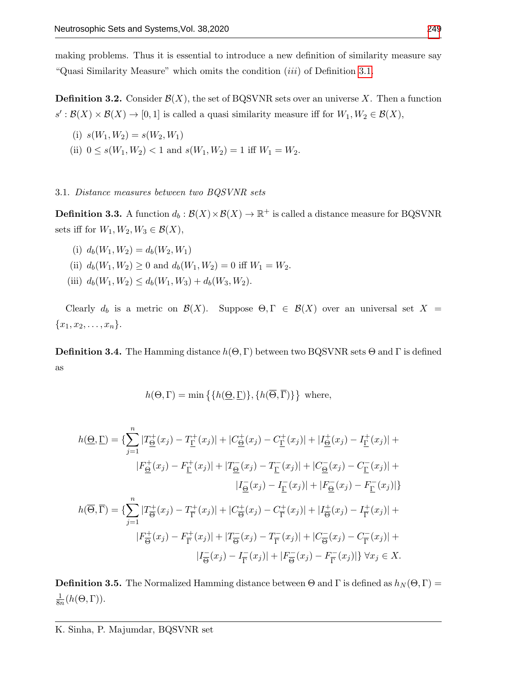making problems. Thus it is essential to introduce a new definition of similarity measure say "Quasi Similarity Measure" which omits the condition (iii) of Definition [3.1.](#page-4-1)

**Definition 3.2.** Consider  $\mathcal{B}(X)$ , the set of BQSVNR sets over an universe X. Then a function  $s': \mathcal{B}(X) \times \mathcal{B}(X) \to [0,1]$  is called a quasi similarity measure iff for  $W_1, W_2 \in \mathcal{B}(X)$ ,

- (i)  $s(W_1, W_2) = s(W_2, W_1)$
- (ii)  $0 \le s(W_1, W_2) < 1$  and  $s(W_1, W_2) = 1$  iff  $W_1 = W_2$ .

## 3.1. Distance measures between two BQSVNR sets

**Definition 3.3.** A function  $d_b: \mathcal{B}(X) \times \mathcal{B}(X) \to \mathbb{R}^+$  is called a distance measure for BQSVNR sets iff for  $W_1, W_2, W_3 \in \mathcal{B}(X)$ ,

- (i)  $d_h(W_1, W_2) = d_h(W_2, W_1)$
- (ii)  $d_b(W_1, W_2) \ge 0$  and  $d_b(W_1, W_2) = 0$  iff  $W_1 = W_2$ .
- (iii)  $d_b(W_1, W_2) \leq d_b(W_1, W_3) + d_b(W_3, W_2)$ .

Clearly  $d_b$  is a metric on  $\mathcal{B}(X)$ . Suppose  $\Theta, \Gamma \in \mathcal{B}(X)$  over an universal set  $X =$  ${x_1, x_2, \ldots, x_n}.$ 

<span id="page-5-0"></span>**Definition 3.4.** The Hamming distance  $h(\Theta, \Gamma)$  between two BQSVNR sets  $\Theta$  and  $\Gamma$  is defined as

$$
h(\Theta, \Gamma) = \min \{ \{ h(\Theta, \Gamma) \}, \{ h(\overline{\Theta}, \overline{\Gamma}) \} \}
$$
 where,

$$
h(\underline{\Theta}, \underline{\Gamma}) = \{ \sum_{j=1}^{n} |T_{\underline{\Theta}}^{+}(x_j) - T_{\underline{\Gamma}}^{+}(x_j)| + |C_{\underline{\Theta}}^{+}(x_j) - C_{\underline{\Gamma}}^{+}(x_j)| + |I_{\underline{\Theta}}^{+}(x_j) - I_{\underline{\Gamma}}^{+}(x_j)| +
$$
  
\n
$$
|F_{\underline{\Theta}}^{+}(x_j) - F_{\underline{\Gamma}}^{+}(x_j)| + |T_{\underline{\Theta}}^{-}(x_j) - T_{\underline{\Gamma}}^{-}(x_j)| + |C_{\underline{\Theta}}^{-}(x_j) - C_{\underline{\Gamma}}^{-}(x_j)| +
$$
  
\n
$$
|I_{\underline{\Theta}}^{-}(x_j) - I_{\underline{\Gamma}}^{-}(x_j)| + |F_{\underline{\Theta}}^{-}(x_j) - F_{\underline{\Gamma}}^{-}(x_j)| \}
$$
  
\n
$$
h(\overline{\Theta}, \overline{\Gamma}) = \{ \sum_{j=1}^{n} |T_{\overline{\Theta}}^{+}(x_j) - T_{\overline{\Gamma}}^{+}(x_j)| + |C_{\overline{\Theta}}^{+}(x_j) - C_{\overline{\Gamma}}^{+}(x_j)| + |I_{\overline{\Theta}}^{+}(x_j) - I_{\overline{\Gamma}}^{+}(x_j)| +
$$
  
\n
$$
|F_{\overline{\Theta}}^{+}(x_j) - F_{\overline{\Gamma}}^{+}(x_j)| + |T_{\overline{\Theta}}^{-}(x_j) - T_{\overline{\Gamma}}^{-}(x_j)| + |C_{\overline{\Theta}}^{-}(x_j) - C_{\overline{\Gamma}}^{-}(x_j)| +
$$
  
\n
$$
|I_{\overline{\Theta}}^{-}(x_j) - I_{\overline{\Gamma}}^{-}(x_j)| + |F_{\overline{\Theta}}^{-}(x_j) - F_{\overline{\Gamma}}^{-}(x_j)| \} \forall x_j \in X.
$$

**Definition 3.5.** The Normalized Hamming distance between  $\Theta$  and  $\Gamma$  is defined as  $h_N(\Theta, \Gamma)$  = 1  $\frac{1}{8n}(h(\Theta,\Gamma)).$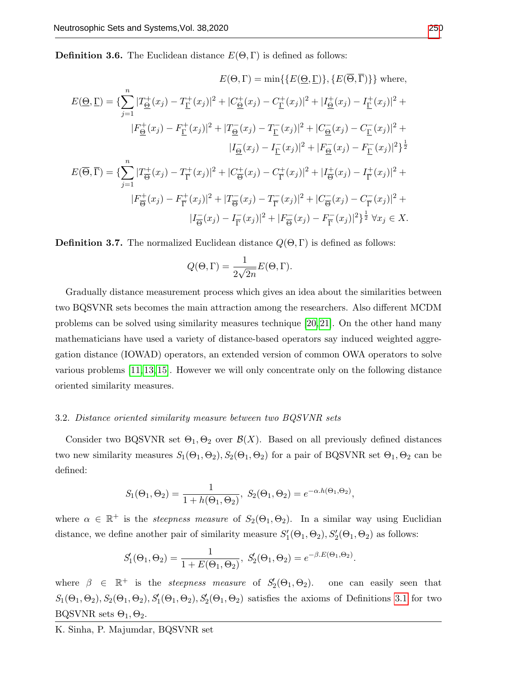**Definition 3.6.** The Euclidean distance  $E(\Theta, \Gamma)$  is defined as follows:

$$
E(\Theta, \Gamma) = \min\{\{E(\underline{\Theta}, \underline{\Gamma})\}, \{E(\Theta, \Gamma)\}\}\text{ where,}
$$
\n
$$
E(\underline{\Theta}, \underline{\Gamma}) = \{\sum_{j=1}^{n} |T_{\underline{\Theta}}^{+}(x_j) - T_{\underline{\Gamma}}^{+}(x_j)|^{2} + |C_{\underline{\Theta}}^{+}(x_j) - C_{\underline{\Gamma}}^{+}(x_j)|^{2} + |I_{\underline{\Theta}}^{+}(x_j) - I_{\underline{\Gamma}}^{+}(x_j)|^{2} + |F_{\underline{\Theta}}^{+}(x_j) - F_{\underline{\Gamma}}^{+}(x_j)|^{2} + |T_{\underline{\Theta}}^{-}(x_j) - T_{\underline{\Gamma}}^{-}(x_j)|^{2} + |C_{\underline{\Theta}}^{-}(x_j) - C_{\underline{\Gamma}}^{-}(x_j)|^{2} + |F_{\underline{\Theta}}^{-}(x_j) - F_{\underline{\Gamma}}^{-}(x_j)|^{2}\}^{1}
$$
\n
$$
E(\overline{\Theta}, \overline{\Gamma}) = \{\sum_{j=1}^{n} |T_{\overline{\Theta}}^{+}(x_j) - T_{\overline{\Gamma}}^{+}(x_j)|^{2} + |C_{\overline{\Theta}}^{+}(x_j) - C_{\overline{\Gamma}}^{+}(x_j)|^{2} + |I_{\overline{\Theta}}^{+}(x_j) - I_{\overline{\Gamma}}^{+}(x_j)|^{2} + |F_{\overline{\Theta}}^{-}(x_j) - F_{\overline{\Gamma}}^{+}(x_j)|^{2} + |F_{\overline{\Theta}}^{-}(x_j) - F_{\overline{\Gamma}}^{-}(x_j)|^{2} + |T_{\overline{\Theta}}^{-}(x_j) - I_{\overline{\Gamma}}^{-}(x_j)|^{2} + |F_{\overline{\Theta}}^{-}(x_j) - F_{\overline{\Gamma}}^{-}(x_j)|^{2}\}^{1}
$$
\n
$$
|I_{\overline{\Theta}}^{-}(x_j) - I_{\overline{\Gamma}}^{-}(x_j)|^{2} + |F_{\overline{\Theta}}^{-}(x_j) - F_{\overline{\Gamma}}^{-}(x_j)|^{2}\}^{1}
$$

<span id="page-6-0"></span>**Definition 3.7.** The normalized Euclidean distance  $Q(\Theta, \Gamma)$  is defined as follows:

$$
Q(\Theta,\Gamma)=\frac{1}{2\sqrt{2n}}E(\Theta,\Gamma).
$$

Gradually distance measurement process which gives an idea about the similarities between two BQSVNR sets becomes the main attraction among the researchers. Also different MCDM problems can be solved using similarity measures technique [\[20,](#page-12-14) [21\]](#page-12-10). On the other hand many mathematicians have used a variety of distance-based operators say induced weighted aggregation distance (IOWAD) operators, an extended version of common OWA operators to solve various problems [\[11,](#page-12-15) [13,](#page-12-16) [15\]](#page-12-17). However we will only concentrate only on the following distance oriented similarity measures.

## <span id="page-6-1"></span>3.2. Distance oriented similarity measure between two BQSVNR sets

Consider two BQSVNR set  $\Theta_1, \Theta_2$  over  $\mathcal{B}(X)$ . Based on all previously defined distances two new similarity measures  $S_1(\Theta_1, \Theta_2), S_2(\Theta_1, \Theta_2)$  for a pair of BQSVNR set  $\Theta_1, \Theta_2$  can be defined:

$$
S_1(\Theta_1, \Theta_2) = \frac{1}{1 + h(\Theta_1, \Theta_2)}, \ S_2(\Theta_1, \Theta_2) = e^{-\alpha \cdot h(\Theta_1, \Theta_2)},
$$

where  $\alpha \in \mathbb{R}^+$  is the *steepness measure* of  $S_2(\Theta_1, \Theta_2)$ . In a similar way using Euclidian distance, we define another pair of similarity measure  $S'_{1}(\Theta_1, \Theta_2), S'_{2}(\Theta_1, \Theta_2)$  as follows:

$$
S'_1(\Theta_1, \Theta_2) = \frac{1}{1 + E(\Theta_1, \Theta_2)}, S'_2(\Theta_1, \Theta_2) = e^{-\beta E(\Theta_1, \Theta_2)}.
$$

where  $\beta \in \mathbb{R}^+$  is the *steepness measure* of  $S_2'(\Theta_1, \Theta_2)$ , one can easily seen that  $S_1(\Theta_1,\Theta_2), S_2(\Theta_1,\Theta_2), S'_1(\Theta_1,\Theta_2), S'_2(\Theta_1,\Theta_2)$  satisfies the axioms of Definitions [3.1](#page-4-1) for two BQSVNR sets  $\Theta_1, \Theta_2$ .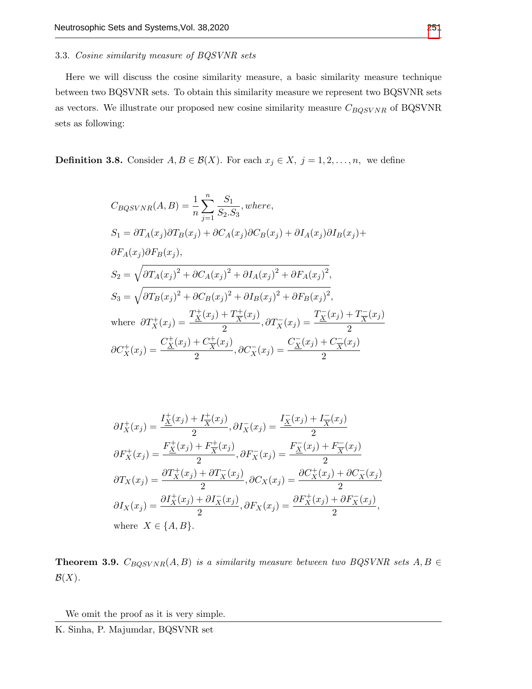# 3.3. Cosine similarity measure of BQSVNR sets

Here we will discuss the cosine similarity measure, a basic similarity measure technique between two BQSVNR sets. To obtain this similarity measure we represent two BQSVNR sets as vectors. We illustrate our proposed new cosine similarity measure  $C_{BQSVNR}$  of BQSVNR sets as following:

**Definition 3.8.** Consider  $A, B \in \mathcal{B}(X)$ . For each  $x_j \in X$ ,  $j = 1, 2, ..., n$ , we define

$$
C_{BQSVNR}(A, B) = \frac{1}{n} \sum_{j=1}^{n} \frac{S_1}{S_2.S_3}, where,
$$
  
\n
$$
S_1 = \partial T_A(x_j)\partial T_B(x_j) + \partial C_A(x_j)\partial C_B(x_j) + \partial I_A(x_j)\partial I_B(x_j) +
$$
  
\n
$$
\partial F_A(x_j)\partial F_B(x_j),
$$
  
\n
$$
S_2 = \sqrt{\partial T_A(x_j)^2 + \partial C_A(x_j)^2 + \partial I_A(x_j)^2 + \partial F_A(x_j)^2},
$$
  
\n
$$
S_3 = \sqrt{\partial T_B(x_j)^2 + \partial C_B(x_j)^2 + \partial I_B(x_j)^2 + \partial F_B(x_j)^2},
$$
  
\nwhere  $\partial T_X^+(x_j) = \frac{T_X^+(x_j) + T_X^+(x_j)}{2}, \partial T_X^-(x_j) = \frac{T_X^-(x_j) + T_X^-(x_j)}{2}$   
\n
$$
\partial C_X^+(x_j) = \frac{C_X^+(x_j) + C_X^+(x_j)}{2}, \partial C_X^-(x_j) = \frac{C_X^-(x_j) + C_X^-(x_j)}{2}
$$

$$
\partial I_X^+(x_j) = \frac{I_X^+(x_j) + I_X^+(x_j)}{2}, \partial I_X^-(x_j) = \frac{I_X^-(x_j) + I_X^-(x_j)}{2}
$$
  
\n
$$
\partial F_X^+(x_j) = \frac{F_X^+(x_j) + F_X^+(x_j)}{2}, \partial F_X^-(x_j) = \frac{F_X^-(x_j) + F_X^-(x_j)}{2}
$$
  
\n
$$
\partial T_X(x_j) = \frac{\partial T_X^+(x_j) + \partial T_X^-(x_j)}{2}, \partial C_X(x_j) = \frac{\partial C_X^+(x_j) + \partial C_X^-(x_j)}{2}
$$
  
\n
$$
\partial I_X(x_j) = \frac{\partial I_X^+(x_j) + \partial I_X^-(x_j)}{2}, \partial F_X(x_j) = \frac{\partial F_X^+(x_j) + \partial F_X^-(x_j)}{2},
$$
  
\nwhere  $X \in \{A, B\}.$ 

**Theorem 3.9.**  $C_{BQSVNR}(A, B)$  is a similarity measure between two BQSVNR sets  $A, B \in$  $\mathcal{B}(X)$ .

We omit the proof as it is very simple.

K. Sinha, P. Majumdar, BQSVNR set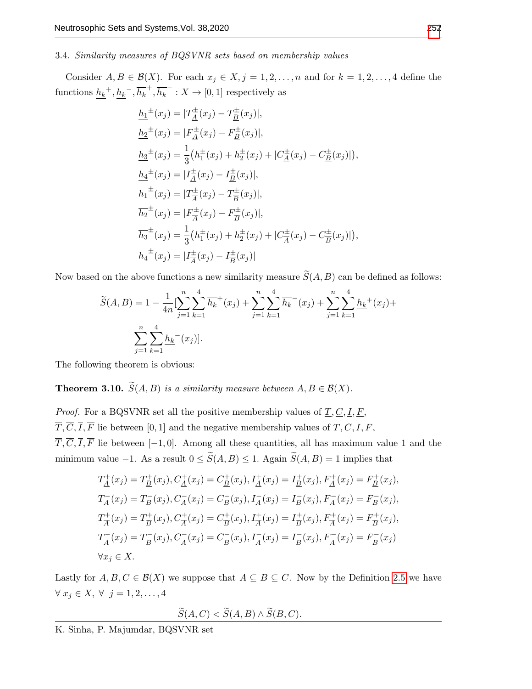## 3.4. Similarity measures of BQSVNR sets based on membership values

Consider  $A, B \in \mathcal{B}(X)$ . For each  $x_j \in X, j = 1, 2, ..., n$  and for  $k = 1, 2, ..., 4$  define the functions  $h_k^{\dagger}, h_k^{\dagger}, \overline{h_k}^{\dagger}, \overline{h_k}^{\dagger} : X \to [0, 1]$  respectively as

$$
h_1^{\pm}(x_j) = |T_{\underline{A}}^{\pm}(x_j) - T_{\underline{B}}^{\pm}(x_j)|,
$$
  
\n
$$
h_2^{\pm}(x_j) = |F_{\underline{A}}^{\pm}(x_j) - F_{\underline{B}}^{\pm}(x_j)|,
$$
  
\n
$$
h_3^{\pm}(x_j) = \frac{1}{3}(h_1^{\pm}(x_j) + h_2^{\pm}(x_j) + |C_{\underline{A}}^{\pm}(x_j) - C_{\underline{B}}^{\pm}(x_j)|),
$$
  
\n
$$
h_4^{\pm}(x_j) = |T_{\underline{A}}^{\pm}(x_j) - T_{\underline{B}}^{\pm}(x_j)|,
$$
  
\n
$$
\overline{h_1}^{\pm}(x_j) = |T_{\overline{A}}^{\pm}(x_j) - T_{\overline{B}}^{\pm}(x_j)|,
$$
  
\n
$$
\overline{h_2}^{\pm}(x_j) = |F_{\overline{A}}^{\pm}(x_j) - F_{\overline{B}}^{\pm}(x_j)|,
$$
  
\n
$$
\overline{h_3}^{\pm}(x_j) = \frac{1}{3}(h_1^{\pm}(x_j) + h_2^{\pm}(x_j) + |C_{\overline{A}}^{\pm}(x_j) - C_{\overline{B}}^{\pm}(x_j)|),
$$
  
\n
$$
\overline{h_4}^{\pm}(x_j) = |T_{\overline{A}}^{\pm}(x_j) - T_{\overline{B}}^{\pm}(x_j)|
$$

Now based on the above functions a new similarity measure  $\widetilde{S}(A, B)$  can be defined as follows:

$$
\widetilde{S}(A,B) = 1 - \frac{1}{4n} \left[ \sum_{j=1}^{n} \sum_{k=1}^{4} \overline{h_k}^+(x_j) + \sum_{j=1}^{n} \sum_{k=1}^{4} \overline{h_k}^-(x_j) + \sum_{j=1}^{n} \sum_{k=1}^{4} \underline{h_k}^+(x_j) + \sum_{j=1}^{n} \sum_{k=1}^{4} \underline{h_k}^-(x_j) \right].
$$

The following theorem is obvious:

<span id="page-8-0"></span>**Theorem 3.10.**  $\widetilde{S}(A, B)$  is a similarity measure between  $A, B \in \mathcal{B}(X)$ .

*Proof.* For a BQSVNR set all the positive membership values of  $\underline{T}, \underline{C}, \underline{I}, \underline{F}$ ,  $\overline{T}, \overline{C}, \overline{I}, \overline{F}$  lie between [0,1] and the negative membership values of  $\underline{T}, \underline{C}, \underline{I}, \underline{F},$  $\overline{T}, \overline{C}, \overline{I}, \overline{F}$  lie between [−1, 0]. Among all these quantities, all has maximum value 1 and the minimum value −1. As a result  $0 \le \widetilde{S}(A, B) \le 1$ . Again  $\widetilde{S}(A, B) = 1$  implies that

$$
T_{\underline{A}}^{+}(x_{j}) = T_{\underline{B}}^{+}(x_{j}), C_{\underline{A}}^{+}(x_{j}) = C_{\underline{B}}^{+}(x_{j}), I_{\underline{A}}^{+}(x_{j}) = I_{\underline{B}}^{+}(x_{j}), F_{\underline{A}}^{+}(x_{j}) = F_{\underline{B}}^{+}(x_{j}),
$$
  
\n
$$
T_{\underline{A}}^{-}(x_{j}) = T_{\underline{B}}^{-}(x_{j}), C_{\underline{A}}^{-}(x_{j}) = C_{\underline{B}}^{-}(x_{j}), I_{\underline{A}}^{-}(x_{j}) = I_{\underline{B}}^{-}(x_{j}), F_{\underline{A}}^{-}(x_{j}) = F_{\underline{B}}^{-}(x_{j}),
$$
  
\n
$$
T_{\overline{A}}^{+}(x_{j}) = T_{\overline{B}}^{+}(x_{j}), C_{\overline{A}}^{+}(x_{j}) = C_{\overline{B}}^{+}(x_{j}), I_{\overline{A}}^{+}(x_{j}) = I_{\overline{B}}^{+}(x_{j}), F_{\overline{A}}^{+}(x_{j}) = F_{\overline{B}}^{+}(x_{j}),
$$
  
\n
$$
T_{\overline{A}}^{-}(x_{j}) = T_{\overline{B}}^{-}(x_{j}), C_{\overline{A}}^{-}(x_{j}) = C_{\overline{B}}^{-}(x_{j}), I_{\overline{A}}^{-}(x_{j}) = I_{\overline{B}}^{-}(x_{j}), F_{\overline{A}}^{-}(x_{j}) = F_{\overline{B}}^{-}(x_{j})
$$
  
\n
$$
\forall x_{j} \in X.
$$

Lastly for  $A, B, C \in \mathcal{B}(X)$  we suppose that  $A \subseteq B \subseteq C$ . Now by the Definition [2.5](#page-3-0) we have  $\forall x_j \in X, \forall j = 1, 2, \ldots, 4$ 

$$
\widetilde{S}(A,C) < \widetilde{S}(A,B) \land \widetilde{S}(B,C).
$$

K. Sinha, P. Majumdar, BQSVNR set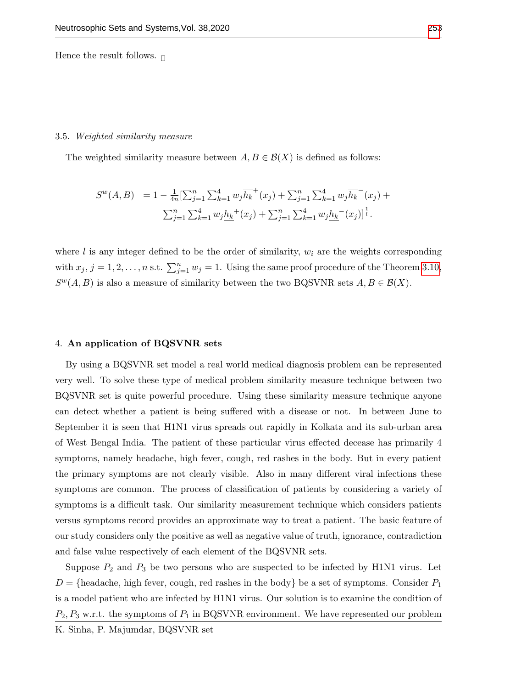Hence the result follows.  $\Box$ 

#### 3.5. Weighted similarity measure

The weighted similarity measure between  $A, B \in \mathcal{B}(X)$  is defined as follows:

$$
S^{w}(A,B) = 1 - \frac{1}{4n} \left[ \sum_{j=1}^{n} \sum_{k=1}^{4} w_{j} \overline{h_{k}}^{+}(x_{j}) + \sum_{j=1}^{n} \sum_{k=1}^{4} w_{j} \overline{h_{k}}^{-}(x_{j}) + \sum_{j=1}^{n} \sum_{k=1}^{4} w_{j} \underline{h_{k}}^{+}(x_{j}) + \sum_{j=1}^{n} \sum_{k=1}^{4} w_{j} \underline{h_{k}}^{-}(x_{j}) \right]^{\frac{1}{l}}.
$$

where l is any integer defined to be the order of similarity,  $w_i$  are the weights corresponding with  $x_j$ ,  $j = 1, 2, ..., n$  s.t.  $\sum_{j=1}^n w_j = 1$ . Using the same proof procedure of the Theorem [3.10,](#page-8-0)  $S^{w}(A, B)$  is also a measure of similarity between the two BQSVNR sets  $A, B \in \mathcal{B}(X)$ .

## 4. An application of BQSVNR sets

By using a BQSVNR set model a real world medical diagnosis problem can be represented very well. To solve these type of medical problem similarity measure technique between two BQSVNR set is quite powerful procedure. Using these similarity measure technique anyone can detect whether a patient is being suffered with a disease or not. In between June to September it is seen that H1N1 virus spreads out rapidly in Kolkata and its sub-urban area of West Bengal India. The patient of these particular virus effected decease has primarily 4 symptoms, namely headache, high fever, cough, red rashes in the body. But in every patient the primary symptoms are not clearly visible. Also in many different viral infections these symptoms are common. The process of classification of patients by considering a variety of symptoms is a difficult task. Our similarity measurement technique which considers patients versus symptoms record provides an approximate way to treat a patient. The basic feature of our study considers only the positive as well as negative value of truth, ignorance, contradiction and false value respectively of each element of the BQSVNR sets.

Suppose  $P_2$  and  $P_3$  be two persons who are suspected to be infected by H1N1 virus. Let  $D = \{\text{headache}, \text{high fever}, \text{cough}, \text{red rashes in the body}\}\$  be a set of symptoms. Consider  $P_1$ is a model patient who are infected by H1N1 virus. Our solution is to examine the condition of  $P_2, P_3$  w.r.t. the symptoms of  $P_1$  in BQSVNR environment. We have represented our problem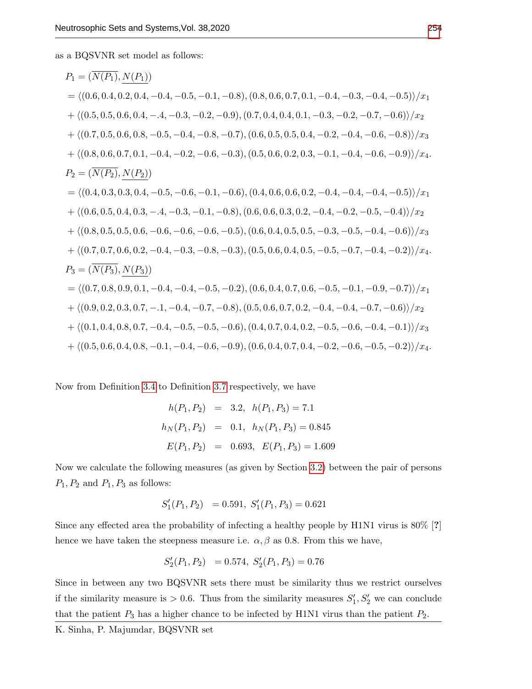as a BQSVNR set model as follows:

$$
P_1 = (\overline{N(P_1)}, \overline{N(P_1)})
$$
  
\n
$$
= \langle (0.6, 0.4, 0.2, 0.4, -0.4, -0.5, -0.1, -0.8), (0.8, 0.6, 0.7, 0.1, -0.4, -0.3, -0.4, -0.5) \rangle / x_1
$$
  
\n
$$
+ \langle (0.5, 0.5, 0.6, 0.4, -.4, -0.3, -0.2, -0.9), (0.7, 0.4, 0.4, 0.1, -0.3, -0.2, -0.7, -0.6) \rangle / x_2
$$
  
\n
$$
+ \langle (0.7, 0.5, 0.6, 0.8, -0.5, -0.4, -0.8, -0.7), (0.6, 0.5, 0.5, 0.4, -0.2, -0.4, -0.6, -0.8) \rangle / x_3
$$
  
\n
$$
+ \langle (0.8, 0.6, 0.7, 0.1, -0.4, -0.2, -0.6, -0.3), (0.5, 0.6, 0.2, 0.3, -0.1, -0.4, -0.6, -0.9) \rangle / x_4
$$
  
\n
$$
P_2 = (\overline{N(P_2)}, \overline{N(P_2)})
$$
  
\n
$$
= \langle (0.4, 0.3, 0.3, 0.4, -0.5, -0.6, -0.1, -0.6), (0.4, 0.6, 0.6, 0.2, -0.4, -0.4, -0.4, -0.5) \rangle / x_1
$$
  
\n
$$
+ \langle (0.6, 0.5, 0.4, 0.3, -.4, -0.3, -0.1, -0.8), (0.6, 0.6, 0.3, 0.2, -0.4, -0.2, -0.5, -0.4) \rangle / x_2
$$
  
\n
$$
+ \langle (0.8, 0.5, 0.5, 0.6, -0.6, -0.6, -0.6, -0.5), (0.6, 0.4, 0.5, 0.5, -0.3, -0.5, -0.4, -0.6) \rangle / x
$$

Now from Definition [3.4](#page-5-0) to Definition [3.7](#page-6-0) respectively, we have

$$
h(P_1, P_2) = 3.2, h(P_1, P_3) = 7.1
$$
  

$$
h_N(P_1, P_2) = 0.1, h_N(P_1, P_3) = 0.845
$$
  

$$
E(P_1, P_2) = 0.693, E(P_1, P_3) = 1.609
$$

Now we calculate the following measures (as given by Section [3.2\)](#page-6-1) between the pair of persons  $P_1, P_2$  and  $P_1, P_3$  as follows:

$$
S_1'(P_1, P_2) = 0.591, S_1'(P_1, P_3) = 0.621
$$

Since any effected area the probability of infecting a healthy people by H1N1 virus is 80% [?] hence we have taken the steepness measure i.e.  $\alpha$ ,  $\beta$  as 0.8. From this we have,

$$
S_2'(P_1, P_2) = 0.574, S_2'(P_1, P_3) = 0.76
$$

Since in between any two BQSVNR sets there must be similarity thus we restrict ourselves if the similarity measure is  $> 0.6$ . Thus from the similarity measures  $S'_1, S'_2$  we can conclude that the patient  $P_3$  has a higher chance to be infected by H1N1 virus than the patient  $P_2$ .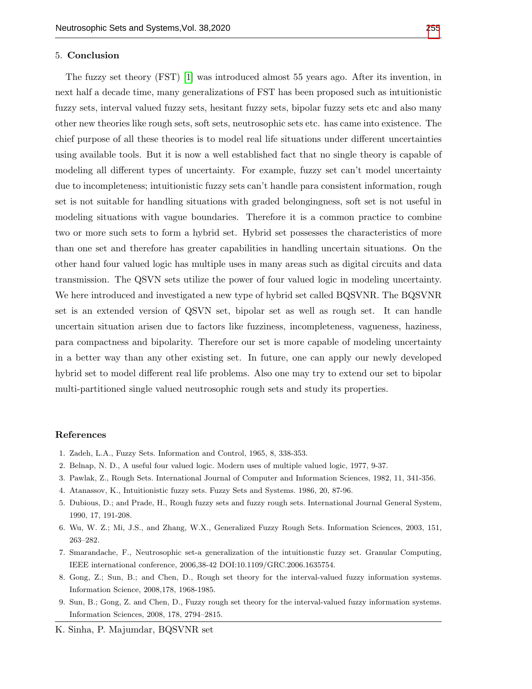## 5. Conclusion

The fuzzy set theory (FST) [\[1\]](#page-11-8) was introduced almost 55 years ago. After its invention, in next half a decade time, many generalizations of FST has been proposed such as intuitionistic fuzzy sets, interval valued fuzzy sets, hesitant fuzzy sets, bipolar fuzzy sets etc and also many other new theories like rough sets, soft sets, neutrosophic sets etc. has came into existence. The chief purpose of all these theories is to model real life situations under different uncertainties using available tools. But it is now a well established fact that no single theory is capable of modeling all different types of uncertainty. For example, fuzzy set can't model uncertainty due to incompleteness; intuitionistic fuzzy sets can't handle para consistent information, rough set is not suitable for handling situations with graded belongingness, soft set is not useful in modeling situations with vague boundaries. Therefore it is a common practice to combine two or more such sets to form a hybrid set. Hybrid set possesses the characteristics of more than one set and therefore has greater capabilities in handling uncertain situations. On the other hand four valued logic has multiple uses in many areas such as digital circuits and data transmission. The QSVN sets utilize the power of four valued logic in modeling uncertainty. We here introduced and investigated a new type of hybrid set called BQSVNR. The BQSVNR set is an extended version of QSVN set, bipolar set as well as rough set. It can handle uncertain situation arisen due to factors like fuzziness, incompleteness, vagueness, haziness, para compactness and bipolarity. Therefore our set is more capable of modeling uncertainty in a better way than any other existing set. In future, one can apply our newly developed hybrid set to model different real life problems. Also one may try to extend our set to bipolar multi-partitioned single valued neutrosophic rough sets and study its properties.

## References

- <span id="page-11-8"></span>1. Zadeh, L.A., Fuzzy Sets. Information and Control, 1965, 8, 338-353.
- <span id="page-11-2"></span>2. Belnap, N. D., A useful four valued logic. Modern uses of multiple valued logic, 1977, 9-37.
- <span id="page-11-3"></span>3. Pawlak, Z., Rough Sets. International Journal of Computer and Information Sciences, 1982, 11, 341-356.
- <span id="page-11-1"></span>4. Atanassov, K., Intuitionistic fuzzy sets. Fuzzy Sets and Systems. 1986, 20, 87-96.
- <span id="page-11-4"></span>5. Dubious, D.; and Prade, H., Rough fuzzy sets and fuzzy rough sets. International Journal General System, 1990, 17, 191-208.
- <span id="page-11-5"></span>6. Wu, W. Z.; Mi, J.S., and Zhang, W.X., Generalized Fuzzy Rough Sets. Information Sciences, 2003, 151, 263–282.
- <span id="page-11-0"></span>7. Smarandache, F., Neutrosophic set-a generalization of the intuitionstic fuzzy set. Granular Computing, IEEE international conference, 2006,38-42 DOI:10.1109/GRC.2006.1635754.
- <span id="page-11-6"></span>8. Gong, Z.; Sun, B.; and Chen, D., Rough set theory for the interval-valued fuzzy information systems. Information Science, 2008,178, 1968-1985.
- <span id="page-11-7"></span>9. Sun, B.; Gong, Z. and Chen, D., Fuzzy rough set theory for the interval-valued fuzzy information systems. Information Sciences, 2008, 178, 2794–2815.

K. Sinha, P. Majumdar, BQSVNR set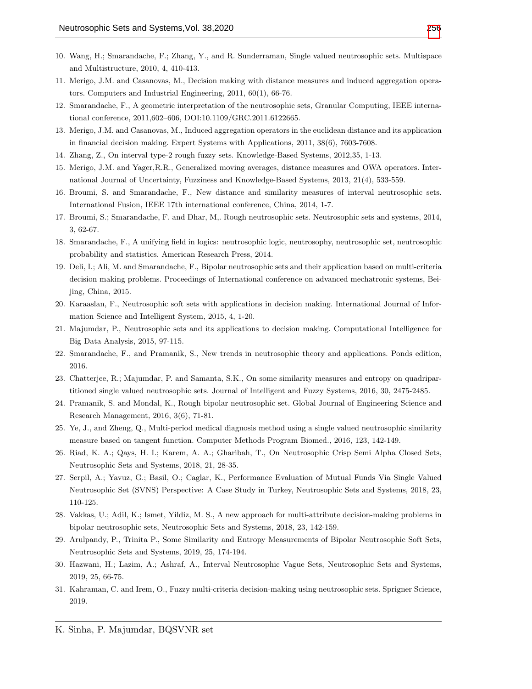- <span id="page-12-0"></span>10. Wang, H.; Smarandache, F.; Zhang, Y., and R. Sunderraman, Single valued neutrosophic sets. Multispace and Multistructure, 2010, 4, 410-413.
- <span id="page-12-15"></span>11. Merigo, J.M. and Casanovas, M., Decision making with distance measures and induced aggregation operators. Computers and Industrial Engineering, 2011, 60(1), 66-76.
- <span id="page-12-8"></span>12. Smarandache, F., A geometric interpretation of the neutrosophic sets, Granular Computing, IEEE international conference, 2011,602–606, DOI:10.1109/GRC.2011.6122665.
- <span id="page-12-16"></span>13. Merigo, J.M. and Casanovas, M., Induced aggregation operators in the euclidean distance and its application in financial decision making. Expert Systems with Applications, 2011, 38(6), 7603-7608.
- <span id="page-12-5"></span>14. Zhang, Z., On interval type-2 rough fuzzy sets. Knowledge-Based Systems, 2012,35, 1-13.
- <span id="page-12-17"></span>15. Merigo, J.M. and Yager,R.R., Generalized moving averages, distance measures and OWA operators. International Journal of Uncertainty, Fuzziness and Knowledge-Based Systems, 2013, 21(4), 533-559.
- <span id="page-12-9"></span>16. Broumi, S. and Smarandache, F., New distance and similarity measures of interval neutrosophic sets. International Fusion, IEEE 17th international conference, China, 2014, 1-7.
- <span id="page-12-7"></span>17. Broumi, S.; Smarandache, F. and Dhar, M,. Rough neutrosophic sets. Neutrosophic sets and systems, 2014, 3, 62-67.
- <span id="page-12-13"></span>18. Smarandache, F., A unifying field in logics: neutrosophic logic, neutrosophy, neutrosophic set, neutrosophic probability and statistics. American Research Press, 2014.
- <span id="page-12-4"></span>19. Deli, I.; Ali, M. and Smarandache, F., Bipolar neutrosophic sets and their application based on multi-criteria decision making problems. Proceedings of International conference on advanced mechatronic systems, Beijing, China, 2015.
- <span id="page-12-14"></span>20. Karaaslan, F., Neutrosophic soft sets with applications in decision making. International Journal of Information Science and Intelligent System, 2015, 4, 1-20.
- <span id="page-12-10"></span>21. Majumdar, P., Neutrosophic sets and its applications to decision making. Computational Intelligence for Big Data Analysis, 2015, 97-115.
- <span id="page-12-1"></span>22. Smarandache, F., and Pramanik, S., New trends in neutrosophic theory and applications. Ponds edition, 2016.
- <span id="page-12-3"></span>23. Chatterjee, R.; Majumdar, P. and Samanta, S.K., On some similarity measures and entropy on quadripartitioned single valued neutrosophic sets. Journal of Intelligent and Fuzzy Systems, 2016, 30, 2475-2485.
- <span id="page-12-6"></span>24. Pramanik, S. and Mondal, K., Rough bipolar neutrosophic set. Global Journal of Engineering Science and Research Management, 2016, 3(6), 71-81.
- <span id="page-12-11"></span>25. Ye, J., and Zheng, Q., Multi-period medical diagnosis method using a single valued neutrosophic similarity measure based on tangent function. Computer Methods Program Biomed., 2016, 123, 142-149.
- 26. Riad, K. A.; Qays, H. I.; Karem, A. A.; Gharibah, T., On Neutrosophic Crisp Semi Alpha Closed Sets, Neutrosophic Sets and Systems, 2018, 21, 28-35.
- 27. Serpil, A.; Yavuz, G.; Basil, O.; Caglar, K., Performance Evaluation of Mutual Funds Via Single Valued Neutrosophic Set (SVNS) Perspective: A Case Study in Turkey, Neutrosophic Sets and Systems, 2018, 23, 110-125.
- 28. Vakkas, U.; Adil, K.; Ismet, Yildiz, M. S., A new approach for multi-attribute decision-making problems in bipolar neutrosophic sets, Neutrosophic Sets and Systems, 2018, 23, 142-159.
- 29. Arulpandy, P., Trinita P., Some Similarity and Entropy Measurements of Bipolar Neutrosophic Soft Sets, Neutrosophic Sets and Systems, 2019, 25, 174-194.
- <span id="page-12-12"></span>30. Hazwani, H.; Lazim, A.; Ashraf, A., Interval Neutrosophic Vague Sets, Neutrosophic Sets and Systems, 2019, 25, 66-75.
- <span id="page-12-2"></span>31. Kahraman, C. and Irem, O., Fuzzy multi-criteria decision-making using neutrosophic sets. Sprigner Science, 2019.